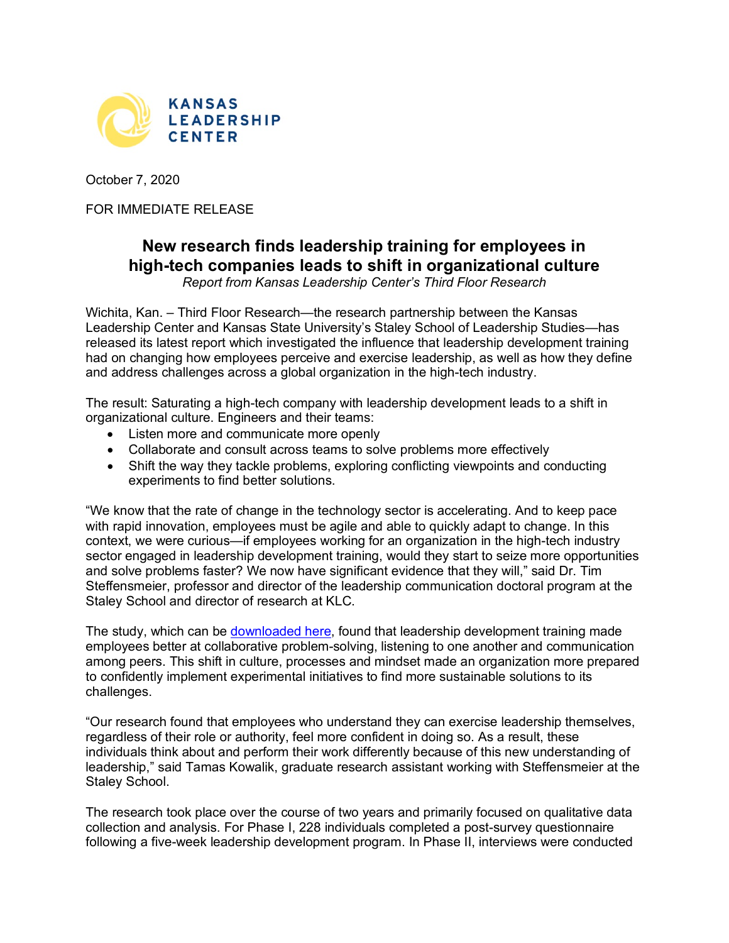

October 7, 2020

FOR IMMEDIATE RELEASE

## **New research finds leadership training for employees in high-tech companies leads to shift in organizational culture**

*Report from Kansas Leadership Center's Third Floor Research*

Wichita, Kan. – Third Floor Research—the research partnership between the Kansas Leadership Center and Kansas State University's Staley School of Leadership Studies—has released its latest report which investigated the influence that leadership development training had on changing how employees perceive and exercise leadership, as well as how they define and address challenges across a global organization in the high-tech industry.

The result: Saturating a high-tech company with leadership development leads to a shift in organizational culture. Engineers and their teams:

- Listen more and communicate more openly
- Collaborate and consult across teams to solve problems more effectively
- Shift the way they tackle problems, exploring conflicting viewpoints and conducting experiments to find better solutions.

"We know that the rate of change in the technology sector is accelerating. And to keep pace with rapid innovation, employees must be agile and able to quickly adapt to change. In this context, we were curious—if employees working for an organization in the high-tech industry sector engaged in leadership development training, would they start to seize more opportunities and solve problems faster? We now have significant evidence that they will," said Dr. Tim Steffensmeier, professor and director of the leadership communication doctoral program at the Staley School and director of research at KLC.

The study, which can be [downloaded here,](https://kansasleadershipcenter.org/third-floor-research/third-floor-research-report-high-tech-industry/) found that leadership development training made employees better at collaborative problem-solving, listening to one another and communication among peers. This shift in culture, processes and mindset made an organization more prepared to confidently implement experimental initiatives to find more sustainable solutions to its challenges.

"Our research found that employees who understand they can exercise leadership themselves, regardless of their role or authority, feel more confident in doing so. As a result, these individuals think about and perform their work differently because of this new understanding of leadership," said Tamas Kowalik, graduate research assistant working with Steffensmeier at the Staley School.

The research took place over the course of two years and primarily focused on qualitative data collection and analysis. For Phase I, 228 individuals completed a post-survey questionnaire following a five-week leadership development program. In Phase II, interviews were conducted